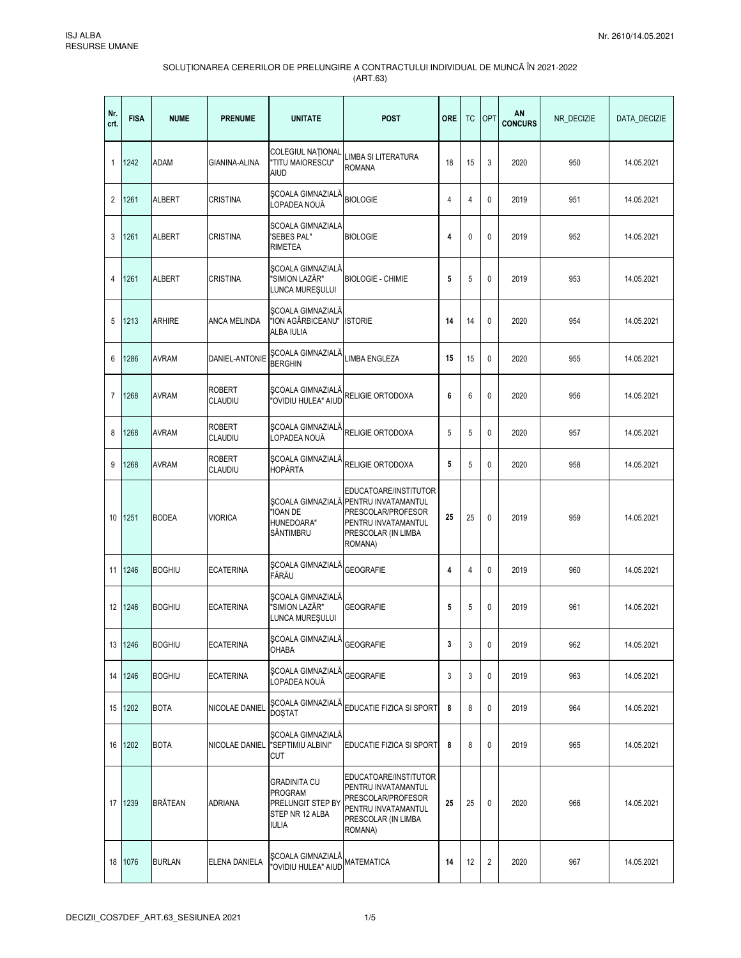| Nr.<br>crt.    | <b>FISA</b> | <b>NUME</b>    | <b>PRENUME</b>           | <b>UNITATE</b>                                                                                | POST                                                                                                                                          | <b>ORE</b>     | TC             | <b>OPT</b>     | AN<br><b>CONCURS</b> | NR DECIZIE | DATA_DECIZIE |
|----------------|-------------|----------------|--------------------------|-----------------------------------------------------------------------------------------------|-----------------------------------------------------------------------------------------------------------------------------------------------|----------------|----------------|----------------|----------------------|------------|--------------|
| $\mathbf{1}$   | 1242        | <b>ADAM</b>    | GIANINA-ALINA            | <b>COLEGIUL NATIONAL</b><br><b>TITU MAIORESCU"</b><br><b>AIUD</b>                             | LIMBA SI LITERATURA<br><b>ROMANA</b>                                                                                                          | 18             | 15             | 3              | 2020                 | 950        | 14.05.2021   |
| $\overline{2}$ | 1261        | <b>ALBERT</b>  | <b>CRISTINA</b>          | ŞCOALA GIMNAZIALĂ<br>LOPADEA NOUĂ                                                             | <b>BIOLOGIE</b>                                                                                                                               | $\overline{4}$ | 4              | 0              | 2019                 | 951        | 14.05.2021   |
| 3              | 1261        | <b>ALBERT</b>  | <b>CRISTINA</b>          | <b>SCOALA GIMNAZIALA</b><br>'SEBES PAL"<br><b>RIMETEA</b>                                     | <b>BIOLOGIE</b>                                                                                                                               | 4              | $\mathbf 0$    | 0              | 2019                 | 952        | 14.05.2021   |
| $\overline{4}$ | 1261        | <b>ALBERT</b>  | <b>CRISTINA</b>          | SCOALA GIMNAZIALĂ<br>'SIMION LAZĂR"<br>LUNCA MUREȘULUI                                        | <b>BIOLOGIE - CHIMIE</b>                                                                                                                      | 5              | 5              | 0              | 2019                 | 953        | 14.05.2021   |
| 5              | 1213        | <b>ARHIRE</b>  | ANCA MELINDA             | <b><i>SCOALA GIMNAZIALA</i></b><br>'ION AGÂRBICEANU" ISTORIE<br><b>ALBA IULIA</b>             |                                                                                                                                               | 14             | 14             | 0              | 2020                 | 954        | 14.05.2021   |
| 6              | 1286        | <b>AVRAM</b>   | DANIEL-ANTONIE           | ŞCOALA GIMNAZIALĂ<br><b>BERGHIN</b>                                                           | <b>LIMBA ENGLEZA</b>                                                                                                                          | 15             | 15             | 0              | 2020                 | 955        | 14.05.2021   |
| $\overline{7}$ | 1268        | <b>AVRAM</b>   | <b>ROBERT</b><br>CLAUDIU | ŞCOALA GIMNAZIALA<br>OVIDIU HULEA" AIUD                                                       | RELIGIE ORTODOXA                                                                                                                              | 6              | 6              | 0              | 2020                 | 956        | 14.05.2021   |
| 8              | 1268        | <b>AVRAM</b>   | <b>ROBERT</b><br>CLAUDIU | ŞCOALA GIMNAZIALĂ<br>LOPADEA NOUĂ                                                             | RELIGIE ORTODOXA                                                                                                                              | 5              | 5              | 0              | 2020                 | 957        | 14.05.2021   |
| 9              | 1268        | <b>AVRAM</b>   | <b>ROBERT</b><br>CLAUDIU | ȘCOALA GIMNAZIALĂ<br><b>HOPÂRTA</b>                                                           | <b>RELIGIE ORTODOXA</b>                                                                                                                       | 5              | 5              | 0              | 2020                 | 958        | 14.05.2021   |
| 10             | 1251        | <b>BODEA</b>   | <b>VIORICA</b>           | "IOAN DE<br>HUNEDOARA"<br>SÂNTIMBRU                                                           | EDUCATOARE/INSTITUTOR<br>SCOALA GIMNAZIALĂ PENTRU INVATAMANTUL<br>PRESCOLAR/PROFESOR<br>PENTRU INVATAMANTUL<br>PRESCOLAR (IN LIMBA<br>ROMANA) | 25             | 25             | 0              | 2019                 | 959        | 14.05.2021   |
| 11             | 1246        | <b>BOGHIU</b>  | <b>ECATERINA</b>         | <b><i>SCOALA GIMNAZIALA</i></b><br>FĂRĂU                                                      | <b>GEOGRAFIE</b>                                                                                                                              | 4              | $\overline{4}$ | 0              | 2019                 | 960        | 14.05.2021   |
| 12             | 1246        | <b>BOGHIU</b>  | <b>ECATERINA</b>         | SCOALA GIMNAZIALĂ<br>'SIMION LAZĂR"<br>LUNCA MURESULUI                                        | <b>GEOGRAFIE</b>                                                                                                                              | 5              | 5              | 0              | 2019                 | 961        | 14.05.2021   |
|                | 13 1246     | <b>BOGHIU</b>  | <b>ECATERINA</b>         | SCOALA GIMNAZIALĂ<br>OHABA                                                                    | <b>GEOGRAFIE</b>                                                                                                                              | 3              | 3              | 0              | 2019                 | 962        | 14.05.2021   |
| 14             | 1246        | <b>BOGHIU</b>  | <b>ECATERINA</b>         | <b><i>SCOALA GIMNAZIALA</i></b><br>LOPADEA NOUĂ                                               | <b>GEOGRAFIE</b>                                                                                                                              | 3              | 3              | 0              | 2019                 | 963        | 14.05.2021   |
|                | 15 1202     | <b>BOTA</b>    | NICOLAE DANIEL           | <b><i>SCOALA GIMNAZIALA</i></b><br><b>DOȘTAT</b>                                              | EDUCATIE FIZICA SI SPORT                                                                                                                      | 8              | 8              | 0              | 2019                 | 964        | 14.05.2021   |
| 16             | 1202        | <b>BOTA</b>    | NICOLAE DANIEL           | <b>SCOALA GIMNAZIALĂ</b><br>"SEPTIMIU ALBINI"<br>CUT                                          | EDUCATIE FIZICA SI SPORT                                                                                                                      | 8              | 8              | 0              | 2019                 | 965        | 14.05.2021   |
|                | 17 1239     | <b>BRÅTEAN</b> | ADRIANA                  | <b>GRADINITA CU</b><br><b>PROGRAM</b><br>PRELUNGIT STEP BY<br>STEP NR 12 ALBA<br><b>IULIA</b> | EDUCATOARE/INSTITUTOR<br>PENTRU INVATAMANTUL<br>PRESCOLAR/PROFESOR<br>PENTRU INVATAMANTUL<br>PRESCOLAR (IN LIMBA<br>ROMANA)                   | 25             | 25             | 0              | 2020                 | 966        | 14.05.2021   |
|                | 18 1076     | <b>BURLAN</b>  | ELENA DANIELA            | ŞCOALA GIMNAZIALA<br>"OVIDIU HULEA" AIUD                                                      | <b>MATEMATICA</b>                                                                                                                             | 14             | 12             | $\overline{2}$ | 2020                 | 967        | 14.05.2021   |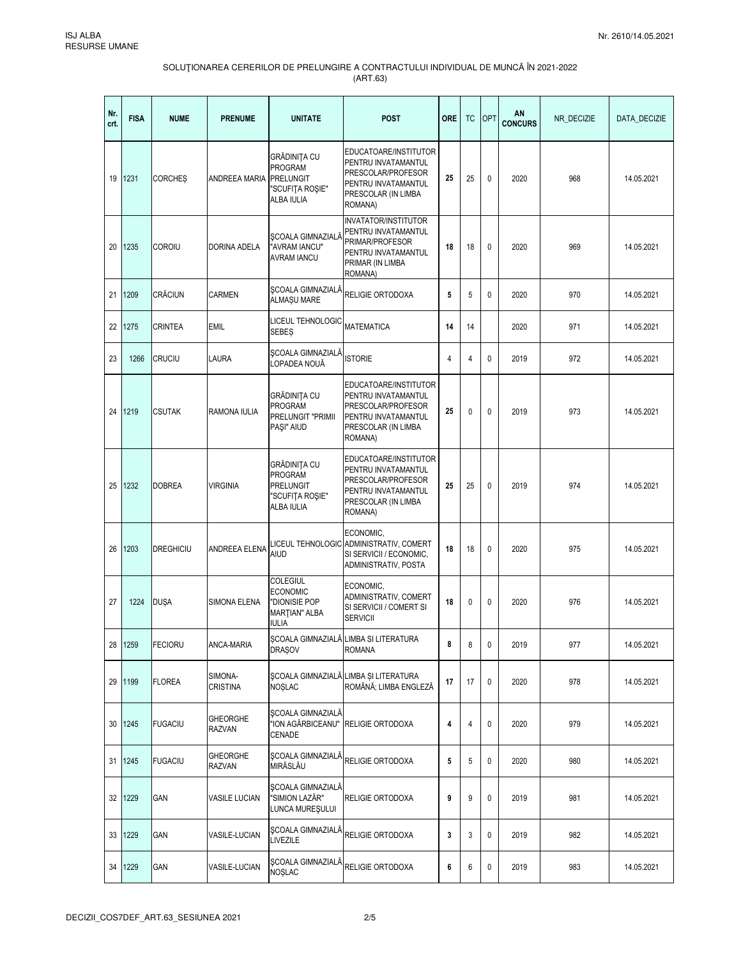| Nr.<br>crt. | <b>FISA</b> | <b>NUME</b>      | <b>PRENUME</b>                   | <b>UNITATE</b>                                                                             | <b>POST</b>                                                                                                                 | <b>ORE</b>     | <b>TC</b>      | <b>OPT</b>   | ΑN<br><b>CONCURS</b> | NR_DECIZIE | DATA_DECIZIE |
|-------------|-------------|------------------|----------------------------------|--------------------------------------------------------------------------------------------|-----------------------------------------------------------------------------------------------------------------------------|----------------|----------------|--------------|----------------------|------------|--------------|
| 19          | 1231        | <b>CORCHES</b>   | ANDREEA MARIA PRELUNGIT          | <b>GRĂDINIȚA CU</b><br><b>PROGRAM</b><br>"SCUFIȚA ROȘIE"<br>ALBA IULIA                     | EDUCATOARE/INSTITUTOR<br>PENTRU INVATAMANTUL<br>PRESCOLAR/PROFESOR<br>PENTRU INVATAMANTUL<br>PRESCOLAR (IN LIMBA<br>ROMANA) | 25             | 25             | 0            | 2020                 | 968        | 14.05.2021   |
| 20          | 1235        | COROIU           | <b>DORINA ADELA</b>              | ŞCOALA GIMNAZIALĂ<br>'AVRAM IANCU"<br><b>AVRAM IANCU</b>                                   | <b>INVATATOR/INSTITUTOR</b><br>PENTRU INVATAMANTUL<br>PRIMAR/PROFESOR<br>PENTRU INVATAMANTUL<br>PRIMAR (IN LIMBA<br>ROMANA) | 18             | 18             | 0            | 2020                 | 969        | 14.05.2021   |
| 21          | 1209        | <b>CRĂCIUN</b>   | <b>CARMEN</b>                    | SCOALA GIMNAZIALĂ<br><b>ALMAȘU MARE</b>                                                    | RELIGIE ORTODOXA                                                                                                            | 5              | 5              | 0            | 2020                 | 970        | 14.05.2021   |
| 22          | 1275        | <b>CRINTEA</b>   | EMIL                             | LICEUL TEHNOLOGIC<br><b>SEBES</b>                                                          | <b>MATEMATICA</b>                                                                                                           | 14             | 14             |              | 2020                 | 971        | 14.05.2021   |
| 23          | 1266        | <b>CRUCIU</b>    | <b>LAURA</b>                     | ŞCOALA GIMNAZIALĂ<br>LOPADEA NOUĂ                                                          | <b>ISTORIE</b>                                                                                                              | $\overline{4}$ | $\overline{4}$ | 0            | 2019                 | 972        | 14.05.2021   |
| 24          | 1219        | <b>CSUTAK</b>    | RAMONA IULIA                     | <b>GRĂDINITA CU</b><br><b>PROGRAM</b><br>PRELUNGIT "PRIMII<br>PAŞI" AIUD                   | EDUCATOARE/INSTITUTOR<br>PENTRU INVATAMANTUL<br>PRESCOLAR/PROFESOR<br>PENTRU INVATAMANTUL<br>PRESCOLAR (IN LIMBA<br>ROMANA) | 25             | $\mathbf{0}$   | 0            | 2019                 | 973        | 14.05.2021   |
| 25          | 1232        | <b>DOBREA</b>    | <b>VIRGINIA</b>                  | <b>GRĂDINITA CU</b><br>PROGRAM<br><b>PRELUNGIT</b><br>"SCUFITA ROȘIE"<br><b>ALBA IULIA</b> | EDUCATOARE/INSTITUTOR<br>PENTRU INVATAMANTUL<br>PRESCOLAR/PROFESOR<br>PENTRU INVATAMANTUL<br>PRESCOLAR (IN LIMBA<br>ROMANA) | 25             | 25             | 0            | 2019                 | 974        | 14.05.2021   |
| 26          | 1203        | <b>DREGHICIU</b> | ANDREEA ELENA                    | <b>AIUD</b>                                                                                | ECONOMIC,<br>LICEUL TEHNOLOGIC ADMINISTRATIV, COMERT<br>SI SERVICII / ECONOMIC,<br>ADMINISTRATIV, POSTA                     | 18             | 18             | 0            | 2020                 | 975        | 14.05.2021   |
| 27          | 1224        | <b>DUSA</b>      | SIMONA ELENA                     | <b>COLEGIUL</b><br><b>ECONOMIC</b><br>"DIONISIE POP<br>MARTIAN" ALBA<br><b>IULIA</b>       | ECONOMIC,<br>ADMINISTRATIV, COMERT<br>SI SERVICII / COMERT SI<br><b>SERVICII</b>                                            | 18             | 0              | 0            | 2020                 | 976        | 14.05.2021   |
|             | 28 1259     | <b>FECIORU</b>   | ANCA-MARIA                       | <b>DRASOV</b>                                                                              | SCOALA GIMNAZIALĂ LIMBA SI LITERATURA<br><b>ROMANA</b>                                                                      | 8              | 8              | 0            | 2019                 | 977        | 14.05.2021   |
| 29          | 1199        | <b>FLOREA</b>    | SIMONA-<br><b>CRISTINA</b>       | <b>NOSLAC</b>                                                                              | SCOALA GIMNAZIALĂ LIMBA SI LITERATURA<br>ROMÂNĂ: LIMBA ENGLEZĂ                                                              | 17             | 17             | 0            | 2020                 | 978        | 14.05.2021   |
| 30          | 1245        | <b>FUGACIU</b>   | <b>GHEORGHE</b><br><b>RAZVAN</b> | ŞCOALA GIMNAZIALĂ<br>"ION AGÂRBICEANU"<br>CENADE                                           | <b>RELIGIE ORTODOXA</b>                                                                                                     | 4              | $\overline{4}$ | 0            | 2020                 | 979        | 14.05.2021   |
| 31          | 1245        | <b>FUGACIU</b>   | <b>GHEORGHE</b><br><b>RAZVAN</b> | <b>ŞCOALA GIMNAZIALĂ</b><br>MIRĂSLĂU                                                       | RELIGIE ORTODOXA                                                                                                            | 5              | 5              | $\mathbf{0}$ | 2020                 | 980        | 14.05.2021   |
| 32          | 1229        | GAN              | VASILE LUCIAN                    | ŞCOALA GIMNAZIALĂ<br>"SIMION LAZĂR"<br>LUNCA MUREŞULUI                                     | RELIGIE ORTODOXA                                                                                                            | 9              | 9              | 0            | 2019                 | 981        | 14.05.2021   |
| 33          | 1229        | GAN              | VASILE-LUCIAN                    | <b>ŞCOALA GIMNAZIALĂ</b><br>LIVEZILE                                                       | RELIGIE ORTODOXA                                                                                                            | 3              | 3              | 0            | 2019                 | 982        | 14.05.2021   |
| 34          | 1229        | GAN              | VASILE-LUCIAN                    | <b><i>SCOALA GIMNAZIALA</i></b><br><b>NOSLAC</b>                                           | RELIGIE ORTODOXA                                                                                                            | 6              | 6              | 0            | 2019                 | 983        | 14.05.2021   |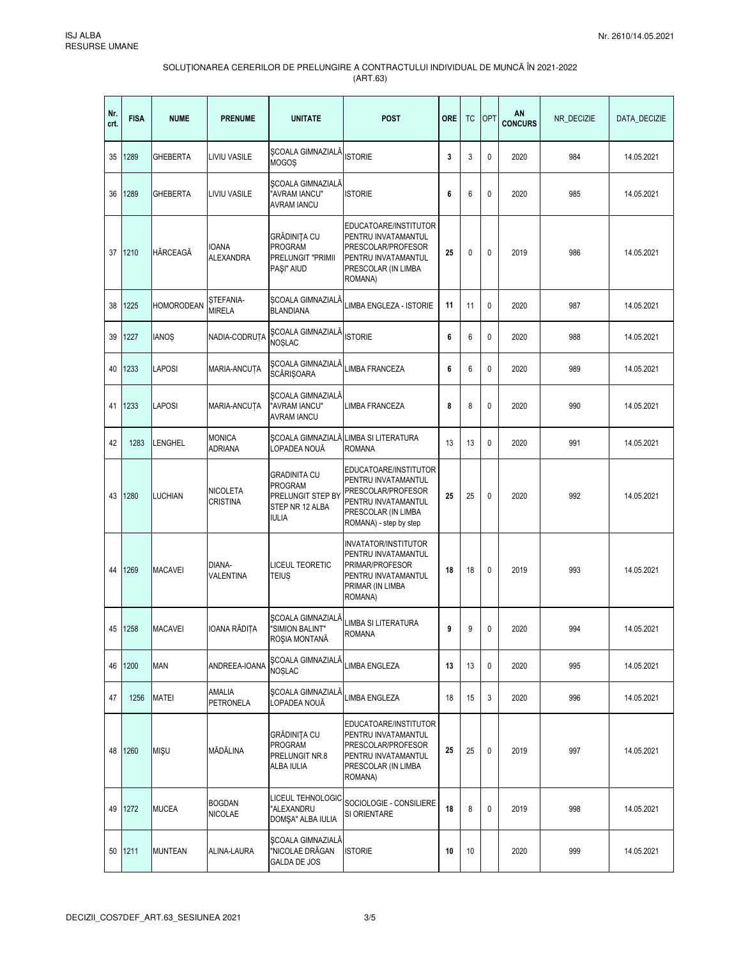| Nr.<br>crt. | <b>FISA</b> | <b>NUME</b>       | <b>PRENUME</b>                     | <b>UNITATE</b>                                                                                | <b>POST</b>                                                                                                                                | <b>ORE</b> | <b>TC</b>    | <b>OPT</b> | AN<br><b>CONCURS</b> | NR_DECIZIE | DATA DECIZIE |
|-------------|-------------|-------------------|------------------------------------|-----------------------------------------------------------------------------------------------|--------------------------------------------------------------------------------------------------------------------------------------------|------------|--------------|------------|----------------------|------------|--------------|
| 35          | 1289        | <b>GHEBERTA</b>   | LIVIU VASILE                       | <b>ŞCOALA GIMNAZIALĂ</b><br><b>MOGOS</b>                                                      | <b>ISTORIE</b>                                                                                                                             | 3          | 3            | 0          | 2020                 | 984        | 14.05.2021   |
| 36          | 1289        | <b>GHEBERTA</b>   | LIVIU VASILE                       | SCOALA GIMNAZIALĂ<br>"AVRAM IANCU"<br><b>AVRAM IANCU</b>                                      | <b>ISTORIE</b>                                                                                                                             | 6          | 6            | 0          | 2020                 | 985        | 14.05.2021   |
| 37          | 1210        | HÂRCEAGĂ          | <b>IOANA</b><br><b>ALEXANDRA</b>   | <b>GRĂDINIȚA CU</b><br><b>PROGRAM</b><br>PRELUNGIT "PRIMII<br>PAŞI" AIUD                      | EDUCATOARE/INSTITUTOR<br>PENTRU INVATAMANTUL<br>PRESCOLAR/PROFESOR<br>PENTRU INVATAMANTUL<br>PRESCOLAR (IN LIMBA<br>ROMANA)                | 25         | $\mathbf{0}$ | 0          | 2019                 | 986        | 14.05.2021   |
| 38          | 1225        | <b>HOMORODEAN</b> | <b>ŞTEFANIA-</b><br><b>MIRELA</b>  | ȘCOALA GIMNAZIALĂ<br><b>BLANDIANA</b>                                                         | LIMBA ENGLEZA - ISTORIE                                                                                                                    | 11         | 11           | 0          | 2020                 | 987        | 14.05.2021   |
| 39          | 1227        | <b>IANOS</b>      | NADIA-CODRUTA                      | <b>SCOALA GIMNAZIALĂ</b><br>NOȘLAC                                                            | <b>ISTORIE</b>                                                                                                                             | 6          | 6            | 0          | 2020                 | 988        | 14.05.2021   |
| 40          | 1233        | <b>LAPOSI</b>     | MARIA-ANCUȚA                       | SCOALA GIMNAZIALĂ LIMBA FRANCEZA<br><b>SCĂRIȘOARA</b>                                         |                                                                                                                                            | 6          | 6            | 0          | 2020                 | 989        | 14.05.2021   |
| 41          | 1233        | <b>LAPOSI</b>     | MARIA-ANCUȚA                       | <b><i>SCOALA GIMNAZIALA</i></b><br>'AVRAM IANCU"<br><b>AVRAM IANCU</b>                        | <b>LIMBA FRANCEZA</b>                                                                                                                      | 8          | 8            | 0          | 2020                 | 990        | 14.05.2021   |
| 42          | 1283        | <b>LENGHEL</b>    | <b>MONICA</b><br><b>ADRIANA</b>    | LOPADEA NOUĂ                                                                                  | SCOALA GIMNAZIALĂ LIMBA SI LITERATURA<br><b>ROMANA</b>                                                                                     | 13         | 13           | 0          | 2020                 | 991        | 14.05.2021   |
| 43          | 1280        | <b>LUCHIAN</b>    | <b>NICOLETA</b><br><b>CRISTINA</b> | <b>GRADINITA CU</b><br><b>PROGRAM</b><br>PRELUNGIT STEP BY<br>STEP NR 12 ALBA<br><b>IULIA</b> | EDUCATOARE/INSTITUTOR<br>PENTRU INVATAMANTUL<br>PRESCOLAR/PROFESOR<br>PENTRU INVATAMANTUL<br>PRESCOLAR (IN LIMBA<br>ROMANA) - step by step | 25         | 25           | 0          | 2020                 | 992        | 14.05.2021   |
| 44          | 1269        | <b>MACAVEI</b>    | DIANA-<br>VALENTINA                | <b>LICEUL TEORETIC</b><br>teiuș                                                               | INVATATOR/INSTITUTOR<br>PENTRU INVATAMANTUL<br>PRIMAR/PROFESOR<br>PENTRU INVATAMANTUL<br>PRIMAR (IN LIMBA<br>ROMANA)                       | 18         | 18           | 0          | 2019                 | 993        | 14.05.2021   |
| 45          | 1258        | <b>MACAVEI</b>    | IOANA RĂDIȚA                       | <b><i>SCOALA GIMNAZIALA</i></b><br>'SIMION BALINT"<br>ROȘIA MONTANĂ                           | LIMBA SI LITERATURA<br><b>ROMANA</b>                                                                                                       | 9          | 9            | 0          | 2020                 | 994        | 14.05.2021   |
| 46          | 1200        | <b>MAN</b>        | ANDREEA-IOANA                      | SCOALA GIMNAZIALĂ<br><b>NOSLAC</b>                                                            | <b>LIMBA ENGLEZA</b>                                                                                                                       | 13         | 13           | 0          | 2020                 | 995        | 14.05.2021   |
| 47          | 1256        | <b>MATEI</b>      | AMALIA<br><b>PETRONELA</b>         | <b>ŞCOALA GIMNAZIALĂ</b><br>LOPADEA NOUĂ                                                      | LIMBA ENGLEZA                                                                                                                              | 18         | 15           | 3          | 2020                 | 996        | 14.05.2021   |
|             | 48 1260     | <b>MIŞU</b>       | MĂDĂLINA                           | GRĂDINIȚA CU<br><b>PROGRAM</b><br>PRELUNGIT NR.8<br>ALBA IULIA                                | EDUCATOARE/INSTITUTOR<br>PENTRU INVATAMANTUL<br>PRESCOLAR/PROFESOR<br>PENTRU INVATAMANTUL<br>PRESCOLAR (IN LIMBA<br>ROMANA)                | 25         | 25           | 0          | 2019                 | 997        | 14.05.2021   |
| 49          | 1272        | <b>MUCEA</b>      | <b>BOGDAN</b><br><b>NICOLAE</b>    | LICEUL TEHNOLOGIC<br>"ALEXANDRU<br>DOMŞA" ALBA IULIA                                          | SOCIOLOGIE - CONSILIERE<br>SI ORIENTARE                                                                                                    | 18         | 8            | 0          | 2019                 | 998        | 14.05.2021   |
| 50          | 1211        | <b>MUNTEAN</b>    | ALINA-LAURA                        | SCOALA GIMNAZIALĂ<br>"NICOLAE DRĂGAN<br><b>GALDA DE JOS</b>                                   | <b>ISTORIE</b>                                                                                                                             | 10         | 10           |            | 2020                 | 999        | 14.05.2021   |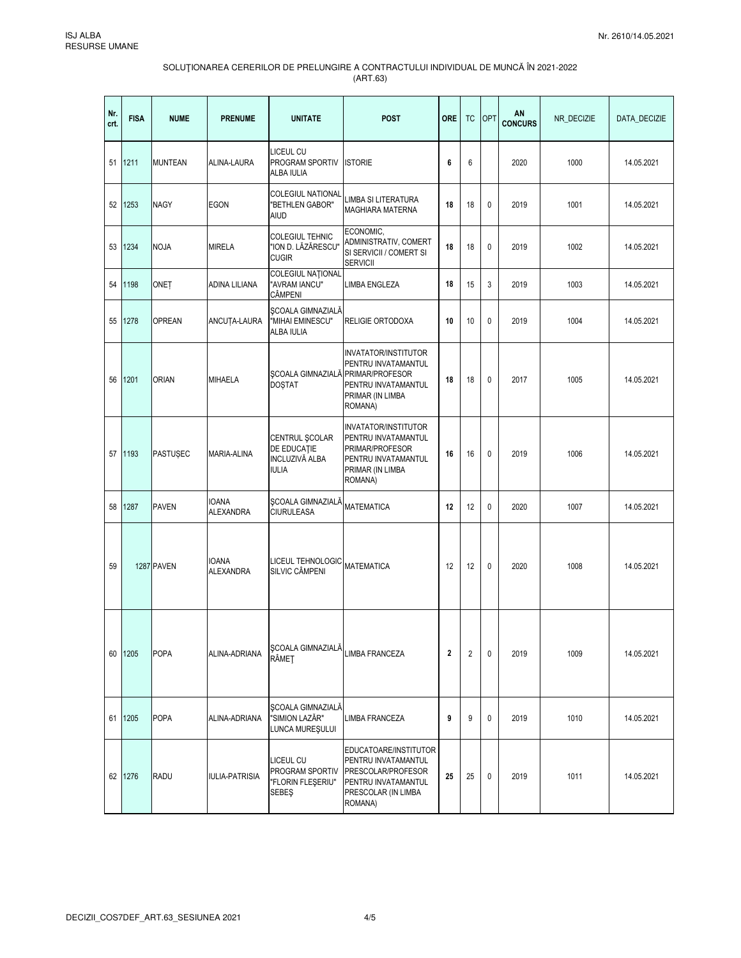| Nr.<br>crt. | <b>FISA</b> | <b>NUME</b>     | <b>PRENUME</b>                   | <b>UNITATE</b>                                                  | <b>POST</b>                                                                                                                 | <b>ORE</b>              | <b>TC</b>      | OPT | AN<br><b>CONCURS</b> | NR_DECIZIE | DATA_DECIZIE |
|-------------|-------------|-----------------|----------------------------------|-----------------------------------------------------------------|-----------------------------------------------------------------------------------------------------------------------------|-------------------------|----------------|-----|----------------------|------------|--------------|
| 51          | 1211        | <b>MUNTEAN</b>  | ALINA-LAURA                      | LICEUL CU<br><b>PROGRAM SPORTIV</b><br><b>ALBA IULIA</b>        | <b>ISTORIE</b>                                                                                                              | 6                       | 6              |     | 2020                 | 1000       | 14.05.2021   |
| 52          | 1253        | <b>NAGY</b>     | <b>EGON</b>                      | <b>COLEGIUL NATIONAL</b><br>"BETHLEN GABOR"<br><b>AIUD</b>      | LIMBA SI LITERATURA<br><b>MAGHIARA MATERNA</b>                                                                              | 18                      | 18             | 0   | 2019                 | 1001       | 14.05.2021   |
| 53          | 1234        | <b>NOJA</b>     | <b>MIRELA</b>                    | <b>COLEGIUL TEHNIC</b><br>"ION D. LĂZĂRESCU"<br><b>CUGIR</b>    | ECONOMIC,<br>ADMINISTRATIV, COMERT<br>SI SERVICII / COMERT SI<br><b>SERVICII</b>                                            | 18                      | 18             | 0   | 2019                 | 1002       | 14.05.2021   |
| 54          | 1198        | ONET            | ADINA LILIANA                    | <b>COLEGIUL NATIONAL</b><br>"AVRAM IANCU"<br>CÂMPENI            | <b>LIMBA ENGLEZA</b>                                                                                                        | 18                      | 15             | 3   | 2019                 | 1003       | 14.05.2021   |
| 55          | 1278        | <b>OPREAN</b>   | ANCUTA-LAURA                     | SCOALA GIMNAZIALĂ<br>"MIHAI EMINESCU"<br><b>ALBA IULIA</b>      | RELIGIE ORTODOXA                                                                                                            | 10                      | 10             | 0   | 2019                 | 1004       | 14.05.2021   |
| 56          | 1201        | <b>ORIAN</b>    | <b>MIHAELA</b>                   | SCOALA GIMNAZIALĂ PRIMAR/PROFESOR<br><b>DOSTAT</b>              | INVATATOR/INSTITUTOR<br>PENTRU INVATAMANTUL<br>PENTRU INVATAMANTUL<br>PRIMAR (IN LIMBA<br>ROMANA)                           | 18                      | 18             | 0   | 2017                 | 1005       | 14.05.2021   |
| 57          | 1193        | <b>PASTUSEC</b> | MARIA-ALINA                      | CENTRUL SCOLAR<br>DE EDUCATIE<br>INCLUZIVĂ ALBA<br><b>IULIA</b> | INVATATOR/INSTITUTOR<br>PENTRU INVATAMANTUL<br>PRIMAR/PROFESOR<br>PENTRU INVATAMANTUL<br>PRIMAR (IN LIMBA<br>ROMANA)        | 16                      | 16             | 0   | 2019                 | 1006       | 14.05.2021   |
| 58          | 1287        | <b>PAVEN</b>    | <b>IOANA</b><br><b>ALEXANDRA</b> | SCOALA GIMNAZIALĂ<br><b>CIURULEASA</b>                          | <b>MATEMATICA</b>                                                                                                           | 12                      | 12             | 0   | 2020                 | 1007       | 14.05.2021   |
| 59          |             | 1287 PAVEN      | <b>IOANA</b><br><b>ALEXANDRA</b> | LICEUL TEHNOLOGIC<br>SILVIC CÂMPENI                             | <b>MATEMATICA</b>                                                                                                           | 12                      | 12             | 0   | 2020                 | 1008       | 14.05.2021   |
| 60          | 1205        | <b>POPA</b>     | ALINA-ADRIANA                    | <b>SCOALA GIMNAZIALĂ</b><br>RÂMET                               | <b>LIMBA FRANCEZA</b>                                                                                                       | $\overline{\mathbf{2}}$ | $\overline{2}$ | 0   | 2019                 | 1009       | 14.05.2021   |
| 61          | 1205        | <b>POPA</b>     | ALINA-ADRIANA                    | SCOALA GIMNAZIALĂ<br>"SIMION LAZĂR"<br>LUNCA MURESULUI          | LIMBA FRANCEZA                                                                                                              | 9                       | 9              | 0   | 2019                 | 1010       | 14.05.2021   |
| 62          | 1276        | <b>RADU</b>     | <b>IULIA-PATRISIA</b>            | LICEUL CU<br>PROGRAM SPORTIV<br>"FLORIN FLEŞERIU"<br>SEBEŞ      | EDUCATOARE/INSTITUTOR<br>PENTRU INVATAMANTUL<br>PRESCOLAR/PROFESOR<br>PENTRU INVATAMANTUL<br>PRESCOLAR (IN LIMBA<br>ROMANA) | 25                      | 25             | 0   | 2019                 | 1011       | 14.05.2021   |